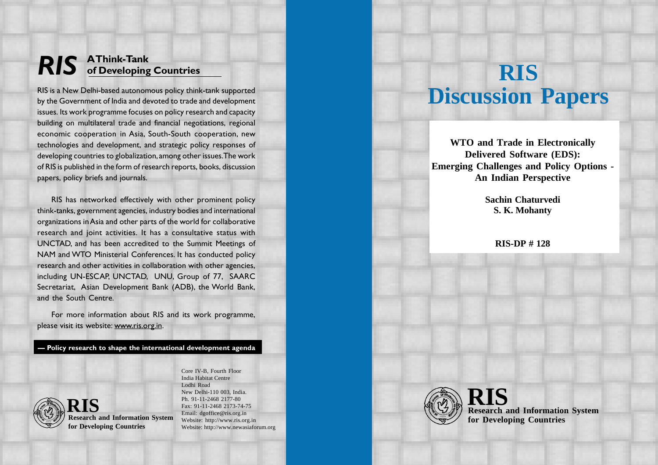## RIS AThink-Tank of Developing Countries

RIS is a New Delhi-based autonomous policy think-tank supported by the Government of India and devoted to trade and development issues. Its work programme focuses on policy research and capacity building on multilateral trade and financial negotiations, regional economic cooperation in Asia, South-South cooperation, new technologies and development, and strategic policy responses of developing countries to globalization, among other issues. The work of RIS is published in the form of research reports, books, discussion papers, policy briefs and journals.

RIS has networked effectively with other prominent policy think-tanks, government agencies, industry bodies and international organizations in Asia and other parts of the world for collaborative research and joint activities. It has a consultative status with UNCTAD, and has been accredited to the Summit Meetings of NAM and WTO Ministerial Conferences. It has conducted policy research and other activities in collaboration with other agencies, including UN-ESCAP, UNCTAD, UNU, Group of 77, SAARC Secretariat, Asian Development Bank (ADB), the World Bank, and the South Centre.

For more information about RIS and its work programme, please visit its website: www.ris.org.in.

Policy research to shape the international development agenda



**Research and Information System for Developing Countries**

India Habitat Centre Lodhi Road New Delhi-110 003, India. Ph. 91-11-2468 2177-80 Fax: 91-11-2468 2173-74-75 Email: dgoffice@ris.org.in Website: http://www.ris.org.in Website: http://www.newasiaforum.org

Core IV-B, Fourth Floor

# **RIS Discussion Papers**

**WTO and Trade in Electronically Delivered Software (EDS): Emerging Challenges and Policy Options - An Indian Perspective**

> **Sachin Chaturvedi S. K. Mohanty**

> > **RIS-DP # 128**



**Research and Information System for Developing Countries RIS**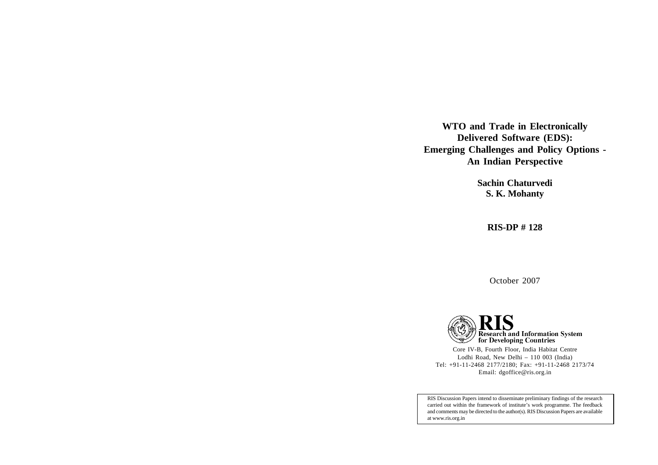**WTO and Trade in Electronically Delivered Software (EDS): Emerging Challenges and Policy Options - An Indian Perspective**

> **Sachin Chaturvedi S. K. Mohanty**

> > **RIS-DP # 128**

October 2007



Core IV-B, Fourth Floor, India Habitat Centre Lodhi Road, New Delhi – 110 003 (India) Tel: +91-11-2468 2177/2180; Fax: +91-11-2468 2173/74 Email: dgoffice@ris.org.in

RIS Discussion Papers intend to disseminate preliminary findings of the research carried out within the framework of institute's work programme. The feedback and comments may be directed to the author(s). RIS Discussion Papers are available at www.ris.org.in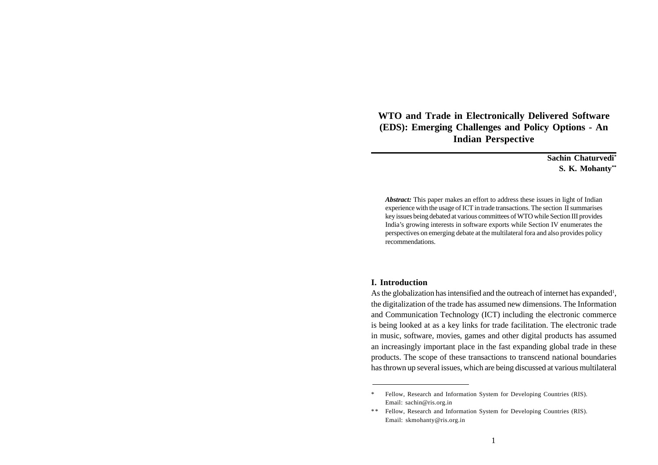**WTO and Trade in Electronically Delivered Software (EDS): Emerging Challenges and Policy Options - An Indian Perspective**

> **Sachin Chaturvedi\* S. K. Mohanty\*\***

*Abstract:* This paper makes an effort to address these issues in light of Indian experience with the usage of ICT in trade transactions. The section II summarises key issues being debated at various committees of WTO while Section III provides India's growing interests in software exports while Section IV enumerates the perspectives on emerging debate at the multilateral fora and also provides policy recommendations.

#### **I. Introduction**

As the globalization has intensified and the outreach of internet has expanded<sup>1</sup>, the digitalization of the trade has assumed new dimensions. The Information and Communication Technology (ICT) including the electronic commerce is being looked at as a key links for trade facilitation. The electronic trade in music, software, movies, games and other digital products has assumed an increasingly important place in the fast expanding global trade in these products. The scope of these transactions to transcend national boundaries has thrown up several issues, which are being discussed at various multilateral

<sup>\*</sup> Fellow, Research and Information System for Developing Countries (RIS). Email: sachin@ris.org.in

<sup>\*\*</sup> Fellow, Research and Information System for Developing Countries (RIS). Email: skmohanty@ris.org.in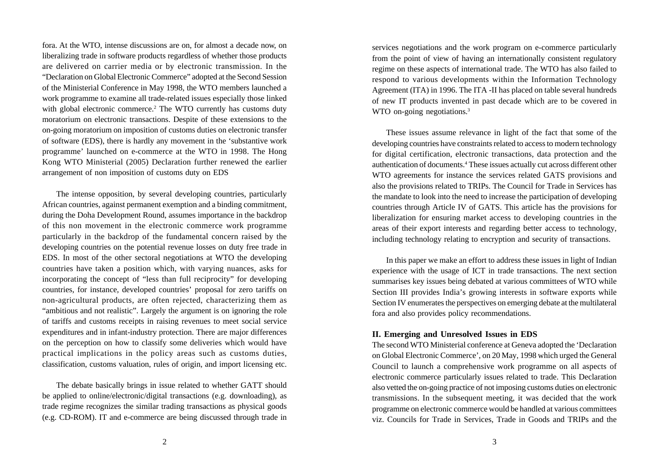fora. At the WTO, intense discussions are on, for almost a decade now, on liberalizing trade in software products regardless of whether those products are delivered on carrier media or by electronic transmission. In the "Declaration on Global Electronic Commerce" adopted at the Second Session of the Ministerial Conference in May 1998, the WTO members launched a work programme to examine all trade-related issues especially those linked with global electronic commerce.<sup>2</sup> The WTO currently has customs duty moratorium on electronic transactions. Despite of these extensions to the on-going moratorium on imposition of customs duties on electronic transfer of software (EDS), there is hardly any movement in the 'substantive work programme' launched on e-commerce at the WTO in 1998. The Hong Kong WTO Ministerial (2005) Declaration further renewed the earlier arrangement of non imposition of customs duty on EDS

The intense opposition, by several developing countries, particularly African countries, against permanent exemption and a binding commitment, during the Doha Development Round, assumes importance in the backdrop of this non movement in the electronic commerce work programme particularly in the backdrop of the fundamental concern raised by the developing countries on the potential revenue losses on duty free trade in EDS. In most of the other sectoral negotiations at WTO the developing countries have taken a position which, with varying nuances, asks for incorporating the concept of "less than full reciprocity" for developing countries, for instance, developed countries' proposal for zero tariffs on non-agricultural products, are often rejected, characterizing them as "ambitious and not realistic". Largely the argument is on ignoring the role of tariffs and customs receipts in raising revenues to meet social service expenditures and in infant-industry protection. There are major differences on the perception on how to classify some deliveries which would have practical implications in the policy areas such as customs duties, classification, customs valuation, rules of origin, and import licensing etc.

The debate basically brings in issue related to whether GATT should be applied to online/electronic/digital transactions (e.g. downloading), as trade regime recognizes the similar trading transactions as physical goods (e.g. CD-ROM). IT and e-commerce are being discussed through trade in services negotiations and the work program on e-commerce particularly from the point of view of having an internationally consistent regulatory regime on these aspects of international trade. The WTO has also failed to respond to various developments within the Information Technology Agreement (ITA) in 1996. The ITA -II has placed on table several hundreds of new IT products invented in past decade which are to be covered in WTO on-going negotiations.<sup>3</sup>

These issues assume relevance in light of the fact that some of the developing countries have constraints related to access to modern technology for digital certification, electronic transactions, data protection and the authentication of documents.4 These issues actually cut across different other WTO agreements for instance the services related GATS provisions and also the provisions related to TRIPs. The Council for Trade in Services has the mandate to look into the need to increase the participation of developing countries through Article IV of GATS. This article has the provisions for liberalization for ensuring market access to developing countries in the areas of their export interests and regarding better access to technology, including technology relating to encryption and security of transactions.

In this paper we make an effort to address these issues in light of Indian experience with the usage of ICT in trade transactions. The next section summarises key issues being debated at various committees of WTO while Section III provides India's growing interests in software exports while Section IV enumerates the perspectives on emerging debate at the multilateral fora and also provides policy recommendations.

#### **II. Emerging and Unresolved Issues in EDS**

The second WTO Ministerial conference at Geneva adopted the 'Declaration on Global Electronic Commerce', on 20 May, 1998 which urged the General Council to launch a comprehensive work programme on all aspects of electronic commerce particularly issues related to trade. This Declaration also vetted the on-going practice of not imposing customs duties on electronic transmissions. In the subsequent meeting, it was decided that the work programme on electronic commerce would be handled at various committees viz. Councils for Trade in Services, Trade in Goods and TRIPs and the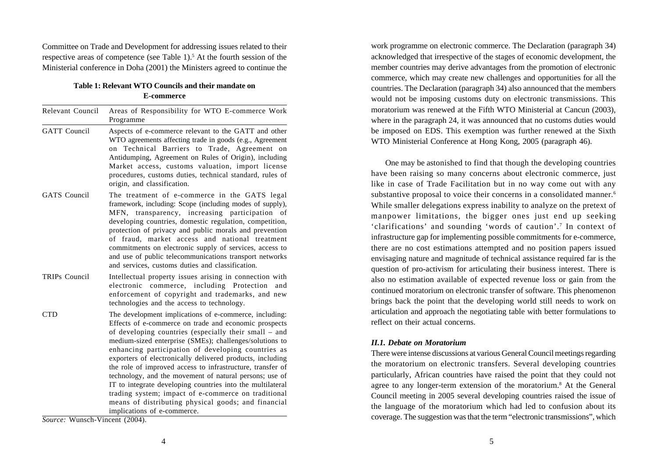Committee on Trade and Development for addressing issues related to their respective areas of competence (see Table 1).<sup>5</sup> At the fourth session of the Ministerial conference in Doha (2001) the Ministers agreed to continue the

#### **Table 1: Relevant WTO Councils and their mandate on E-commerce**

| Relevant Council     | Areas of Responsibility for WTO E-commerce Work<br>Programme                                                                                                                                                                                                                                                                                                                                                                                                                                                                                                                                                                                                                               |
|----------------------|--------------------------------------------------------------------------------------------------------------------------------------------------------------------------------------------------------------------------------------------------------------------------------------------------------------------------------------------------------------------------------------------------------------------------------------------------------------------------------------------------------------------------------------------------------------------------------------------------------------------------------------------------------------------------------------------|
| <b>GATT</b> Council  | Aspects of e-commerce relevant to the GATT and other<br>WTO agreements affecting trade in goods (e.g., Agreement<br>on Technical Barriers to Trade, Agreement on<br>Antidumping, Agreement on Rules of Origin), including<br>Market access, customs valuation, import license<br>procedures, customs duties, technical standard, rules of<br>origin, and classification.                                                                                                                                                                                                                                                                                                                   |
| <b>GATS</b> Council  | The treatment of e-commerce in the GATS legal<br>framework, including: Scope (including modes of supply),<br>transparency, increasing participation<br>MFN.<br>of<br>developing countries, domestic regulation, competition,<br>protection of privacy and public morals and prevention<br>of fraud, market access and national treatment<br>commitments on electronic supply of services, access to<br>and use of public telecommunications transport networks<br>and services, customs duties and classification.                                                                                                                                                                         |
| <b>TRIPs Council</b> | Intellectual property issues arising in connection with<br>electronic commerce, including Protection<br>and<br>enforcement of copyright and trademarks, and new<br>technologies and the access to technology.                                                                                                                                                                                                                                                                                                                                                                                                                                                                              |
| <b>CTD</b>           | The development implications of e-commerce, including:<br>Effects of e-commerce on trade and economic prospects<br>of developing countries (especially their small - and<br>medium-sized enterprise (SMEs); challenges/solutions to<br>enhancing participation of developing countries as<br>exporters of electronically delivered products, including<br>the role of improved access to infrastructure, transfer of<br>technology, and the movement of natural persons; use of<br>IT to integrate developing countries into the multilateral<br>trading system; impact of e-commerce on traditional<br>means of distributing physical goods; and financial<br>implications of e-commerce. |

*Source:* Wunsch-Vincent (2004).

work programme on electronic commerce. The Declaration (paragraph 34) acknowledged that irrespective of the stages of economic development, the member countries may derive advantages from the promotion of electronic commerce, which may create new challenges and opportunities for all the countries. The Declaration (paragraph 34) also announced that the members would not be imposing customs duty on electronic transmissions. This moratorium was renewed at the Fifth WTO Ministerial at Cancun (2003), where in the paragraph 24, it was announced that no customs duties would be imposed on EDS. This exemption was further renewed at the Sixth WTO Ministerial Conference at Hong Kong, 2005 (paragraph 46).

One may be astonished to find that though the developing countries have been raising so many concerns about electronic commerce, just like in case of Trade Facilitation but in no way come out with any substantive proposal to voice their concerns in a consolidated manner.<sup>6</sup> While smaller delegations express inability to analyze on the pretext of manpower limitations, the bigger ones just end up seeking 'clarifications' and sounding 'words of caution'.7 In context of infrastructure gap for implementing possible commitments for e-commerce, there are no cost estimations attempted and no position papers issued envisaging nature and magnitude of technical assistance required far is the question of pro-activism for articulating their business interest. There is also no estimation available of expected revenue loss or gain from the continued moratorium on electronic transfer of software. This phenomenon brings back the point that the developing world still needs to work on articulation and approach the negotiating table with better formulations to reflect on their actual concerns.

#### *II.1. Debate on Moratorium*

There were intense discussions at various General Council meetings regarding the moratorium on electronic transfers. Several developing countries particularly, African countries have raised the point that they could not agree to any longer-term extension of the moratorium.8 At the General Council meeting in 2005 several developing countries raised the issue of the language of the moratorium which had led to confusion about its coverage. The suggestion was that the term "electronic transmissions", which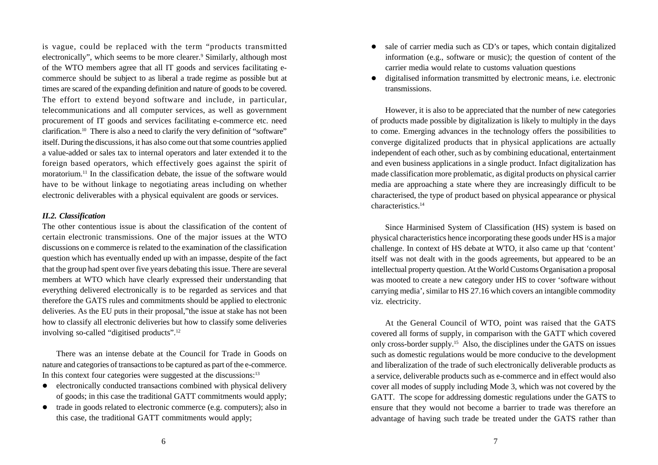is vague, could be replaced with the term "products transmitted electronically", which seems to be more clearer.<sup>9</sup> Similarly, although most of the WTO members agree that all IT goods and services facilitating ecommerce should be subject to as liberal a trade regime as possible but at times are scared of the expanding definition and nature of goods to be covered. The effort to extend beyond software and include, in particular, telecommunications and all computer services, as well as government procurement of IT goods and services facilitating e-commerce etc. need clarification.10 There is also a need to clarify the very definition of "software" itself. During the discussions, it has also come out that some countries applied a value-added or sales tax to internal operators and later extended it to the foreign based operators, which effectively goes against the spirit of moratorium.11 In the classification debate, the issue of the software would have to be without linkage to negotiating areas including on whether electronic deliverables with a physical equivalent are goods or services.

#### *II.2. Classification*

The other contentious issue is about the classification of the content of certain electronic transmissions. One of the major issues at the WTO discussions on e commerce is related to the examination of the classification question which has eventually ended up with an impasse, despite of the fact that the group had spent over five years debating this issue. There are several members at WTO which have clearly expressed their understanding that everything delivered electronically is to be regarded as services and that therefore the GATS rules and commitments should be applied to electronic deliveries. As the EU puts in their proposal,"the issue at stake has not been how to classify all electronic deliveries but how to classify some deliveries involving so-called "digitised products".12

There was an intense debate at the Council for Trade in Goods on nature and categories of transactions to be captured as part of the e-commerce. In this context four categories were suggested at the discussions:<sup>13</sup>

- electronically conducted transactions combined with physical delivery of goods; in this case the traditional GATT commitments would apply;
- trade in goods related to electronic commerce (e.g. computers); also in this case, the traditional GATT commitments would apply;
- sale of carrier media such as CD's or tapes, which contain digitalized information (e.g., software or music); the question of content of the carrier media would relate to customs valuation questions
- digitalised information transmitted by electronic means, i.e. electronic transmissions.

However, it is also to be appreciated that the number of new categories of products made possible by digitalization is likely to multiply in the days to come. Emerging advances in the technology offers the possibilities to converge digitalized products that in physical applications are actually independent of each other, such as by combining educational, entertainment and even business applications in a single product. Infact digitalization has made classification more problematic, as digital products on physical carrier media are approaching a state where they are increasingly difficult to be characterised, the type of product based on physical appearance or physical characteristics.14

Since Harminised System of Classification (HS) system is based on physical characteristics hence incorporating these goods under HS is a major challenge. In context of HS debate at WTO, it also came up that 'content' itself was not dealt with in the goods agreements, but appeared to be an intellectual property question. At the World Customs Organisation a proposal was mooted to create a new category under HS to cover 'software without carrying media', similar to HS 27.16 which covers an intangible commodity viz. electricity.

At the General Council of WTO, point was raised that the GATS covered all forms of supply, in comparison with the GATT which covered only cross-border supply.15 Also, the disciplines under the GATS on issues such as domestic regulations would be more conducive to the development and liberalization of the trade of such electronically deliverable products as a service, deliverable products such as e-commerce and in effect would also cover all modes of supply including Mode 3, which was not covered by the GATT. The scope for addressing domestic regulations under the GATS to ensure that they would not become a barrier to trade was therefore an advantage of having such trade be treated under the GATS rather than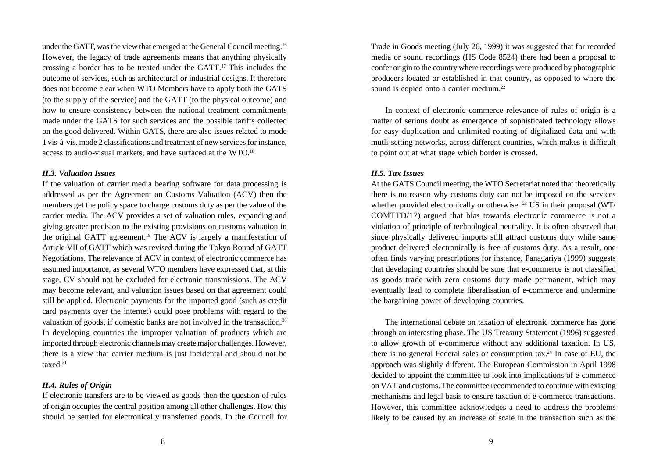under the GATT, was the view that emerged at the General Council meeting.16 However, the legacy of trade agreements means that anything physically crossing a border has to be treated under the GATT.17 This includes the outcome of services, such as architectural or industrial designs. It therefore does not become clear when WTO Members have to apply both the GATS (to the supply of the service) and the GATT (to the physical outcome) and how to ensure consistency between the national treatment commitments made under the GATS for such services and the possible tariffs collected on the good delivered. Within GATS, there are also issues related to mode 1 vis-à-vis. mode 2 classifications and treatment of new services for instance, access to audio-visual markets, and have surfaced at the WTO.18

#### *II.3. Valuation Issues*

If the valuation of carrier media bearing software for data processing is addressed as per the Agreement on Customs Valuation (ACV) then the members get the policy space to charge customs duty as per the value of the carrier media. The ACV provides a set of valuation rules, expanding and giving greater precision to the existing provisions on customs valuation in the original GATT agreement.19 The ACV is largely a manifestation of Article VII of GATT which was revised during the Tokyo Round of GATT Negotiations. The relevance of ACV in context of electronic commerce has assumed importance, as several WTO members have expressed that, at this stage, CV should not be excluded for electronic transmissions. The ACV may become relevant, and valuation issues based on that agreement could still be applied. Electronic payments for the imported good (such as credit card payments over the internet) could pose problems with regard to the valuation of goods, if domestic banks are not involved in the transaction.<sup>20</sup> In developing countries the improper valuation of products which are imported through electronic channels may create major challenges. However, there is a view that carrier medium is just incidental and should not be taxed.21

#### *II.4. Rules of Origin*

If electronic transfers are to be viewed as goods then the question of rules of origin occupies the central position among all other challenges. How this should be settled for electronically transferred goods. In the Council for Trade in Goods meeting (July 26, 1999) it was suggested that for recorded media or sound recordings (HS Code 8524) there had been a proposal to confer origin to the country where recordings were produced by photographic producers located or established in that country, as opposed to where the sound is copied onto a carrier medium.<sup>22</sup>

In context of electronic commerce relevance of rules of origin is a matter of serious doubt as emergence of sophisticated technology allows for easy duplication and unlimited routing of digitalized data and with mutli-setting networks, across different countries, which makes it difficult to point out at what stage which border is crossed.

#### *II.5. Tax Issues*

At the GATS Council meeting, the WTO Secretariat noted that theoretically there is no reason why customs duty can not be imposed on the services whether provided electronically or otherwise. <sup>23</sup> US in their proposal (WT/ COMTTD/17) argued that bias towards electronic commerce is not a violation of principle of technological neutrality. It is often observed that since physically delivered imports still attract customs duty while same product delivered electronically is free of customs duty. As a result, one often finds varying prescriptions for instance, Panagariya (1999) suggests that developing countries should be sure that e-commerce is not classified as goods trade with zero customs duty made permanent, which may eventually lead to complete liberalisation of e-commerce and undermine the bargaining power of developing countries.

The international debate on taxation of electronic commerce has gone through an interesting phase. The US Treasury Statement (1996) suggested to allow growth of e-commerce without any additional taxation. In US, there is no general Federal sales or consumption  $tax.^{24}$  In case of EU, the approach was slightly different. The European Commission in April 1998 decided to appoint the committee to look into implications of e-commerce on VAT and customs. The committee recommended to continue with existing mechanisms and legal basis to ensure taxation of e-commerce transactions. However, this committee acknowledges a need to address the problems likely to be caused by an increase of scale in the transaction such as the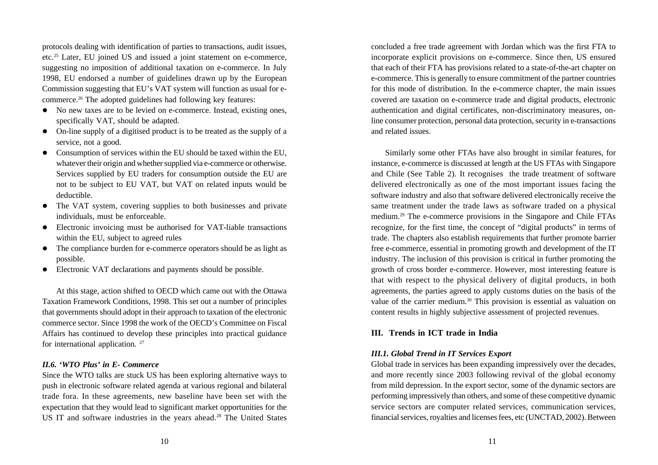protocols dealing with identification of parties to transactions, audit issues, etc.25 Later, EU joined US and issued a joint statement on e-commerce, suggesting no imposition of additional taxation on e-commerce. In July 1998, EU endorsed a number of guidelines drawn up by the European Commission suggesting that EU's VAT system will function as usual for ecommerce.26 The adopted guidelines had following key features:

- No new taxes are to be levied on e-commerce. Instead, existing ones, specifically VAT, should be adapted.
- On-line supply of a digitised product is to be treated as the supply of a service, not a good.
- Consumption of services within the EU should be taxed within the EU, whatever their origin and whether supplied via e-commerce or otherwise. Services supplied by EU traders for consumption outside the EU are not to be subject to EU VAT, but VAT on related inputs would be deductible.
- The VAT system, covering supplies to both businesses and private individuals, must be enforceable.
- Electronic invoicing must be authorised for VAT-liable transactions within the EU, subject to agreed rules
- The compliance burden for e-commerce operators should be as light as possible.
- Electronic VAT declarations and payments should be possible.

At this stage, action shifted to OECD which came out with the Ottawa Taxation Framework Conditions, 1998. This set out a number of principles that governments should adopt in their approach to taxation of the electronic commerce sector. Since 1998 the work of the OECD's Committee on Fiscal Affairs has continued to develop these principles into practical guidance for international application.<sup>27</sup>

#### *II.6. 'WTO Plus' in E- Commerce*

Since the WTO talks are stuck US has been exploring alternative ways to push in electronic software related agenda at various regional and bilateral trade fora. In these agreements, new baseline have been set with the expectation that they would lead to significant market opportunities for the US IT and software industries in the years ahead.<sup>28</sup> The United States concluded a free trade agreement with Jordan which was the first FTA to incorporate explicit provisions on e-commerce. Since then, US ensured that each of their FTA has provisions related to a state-of-the-art chapter on e-commerce. This is generally to ensure commitment of the partner countries for this mode of distribution. In the e-commerce chapter, the main issues covered are taxation on e-commerce trade and digital products, electronic authentication and digital certificates, non-discriminatory measures, online consumer protection, personal data protection, security in e-transactions and related issues.

Similarly some other FTAs have also brought in similar features, for instance, e-commerce is discussed at length at the US FTAs with Singapore and Chile (See Table 2). It recognises the trade treatment of software delivered electronically as one of the most important issues facing the software industry and also that software delivered electronically receive the same treatment under the trade laws as software traded on a physical medium.29 The e-commerce provisions in the Singapore and Chile FTAs recognize, for the first time, the concept of "digital products" in terms of trade. The chapters also establish requirements that further promote barrier free e-commerce, essential in promoting growth and development of the IT industry. The inclusion of this provision is critical in further promoting the growth of cross border e-commerce. However, most interesting feature is that with respect to the physical delivery of digital products, in both agreements, the parties agreed to apply customs duties on the basis of the value of the carrier medium.<sup>30</sup> This provision is essential as valuation on content results in highly subjective assessment of projected revenues.

#### **III. Trends in ICT trade in India**

#### *III.1. Global Trend in IT Services Export*

Global trade in services has been expanding impressively over the decades, and more recently since 2003 following revival of the global economy from mild depression. In the export sector, some of the dynamic sectors are performing impressively than others, and some of these competitive dynamic service sectors are computer related services, communication services, financial services, royalties and licenses fees, etc (UNCTAD, 2002). Between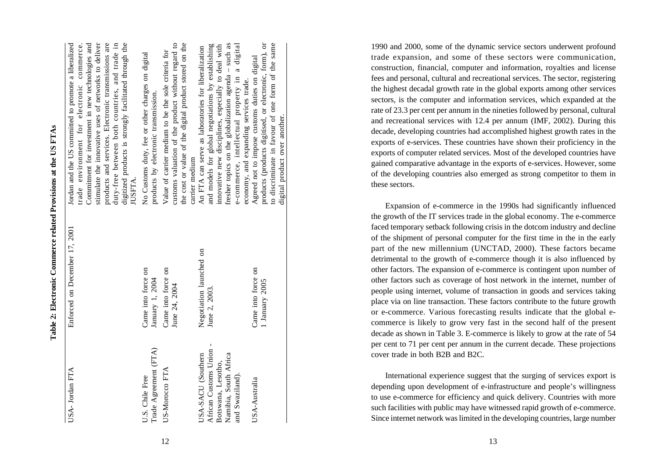|                                                                                                                 | Table 2: Electronic Commerce related Provisions at the US FTAs |                                                                                                                                                                                                                                                                                                                                                                                               |
|-----------------------------------------------------------------------------------------------------------------|----------------------------------------------------------------|-----------------------------------------------------------------------------------------------------------------------------------------------------------------------------------------------------------------------------------------------------------------------------------------------------------------------------------------------------------------------------------------------|
| USA-Jordan FTA                                                                                                  | Enforced on December 17, 2001                                  | Jordan and the US committed to promote a liberalized<br>trade environment for electronic commerce.<br>Commitment for investment in new technologies and<br>stimulate the innovative uses of networks to deliver<br>products and services. Electronic transmissions are<br>duty-free between both countries, and trade in<br>digitized products is strongly facilitated through the<br>JUSFTA. |
| Trade Agreement (FTA)<br>U.S. Chile Free                                                                        | Came into force on<br>January 1, 2004                          | No Customs duty, fee or other charges on digital<br>products by electronic transmission.                                                                                                                                                                                                                                                                                                      |
| US-Morocco FTA                                                                                                  | Came into force on<br>June 24, 2004                            | customs valuation of the product without regard to<br>the cost or value of the digital product stored on the<br>Value of carrier medium to be the sole criteria for<br>carrier medium                                                                                                                                                                                                         |
| African Customs Union -<br>Namibia, South Africa<br>USA-SACU (Southern<br>Botswana, Lesotho,<br>and Swaziland). | Negotiation launched on<br>June 2, 2003.                       | fresher topics on the globalization agenda – such as<br>e-commerce, intellectual property in a digital<br>and models for global negotiations by establishing<br>innovative new disciplines, especially to deal with<br>An FTA can serve as laboratories for liberalization                                                                                                                    |
| USA-Australia                                                                                                   | Came into force on<br>1 January 2005                           | to discriminate in favour of one form of the same<br>products (products digitised, or electronic, form), or<br>Agreed not to impose customs duties on digital<br>economy, and expanding services trade.<br>digital product over another.                                                                                                                                                      |

1990 and 2000, some of the dynamic service sectors underwent profound trade expansion, and some of these sectors were communication, construction, financial, computer and information, royalties and license fees and personal, cultural and recreational services. The sector, registering the highest decadal growth rate in the global exports among other services sectors, is the computer and information services, which expanded at the rate of 23.3 per cent per annum in the nineties followed by personal, cultural and recreational services with 12.4 per annum (IMF, 2002). During this decade, developing countries had accomplished highest growth rates in the exports of e-services. These countries have shown their proficiency in the exports of computer related services. Most of the developed countries have gained comparative advantage in the exports of e-services. However, some of the developing countries also emerged as strong competitor to them in these sectors.

Expansion of e-commerce in the 1990s had significantly influenced the growth of the IT services trade in the global economy. The e-commerce faced temporary setback following crisis in the dotcom industry and decline of the shipment of personal computer for the first time in the in the early part of the new millennium (UNCTAD, 2000). These factors became detrimental to the growth of e-commerce though it is also influenced by other factors. The expansion of e-commerce is contingent upon number of other factors such as coverage of host network in the internet, number of people using internet, volume of transaction in goods and services taking place via on line transaction. These factors contribute to the future growth or e-commerce. Various forecasting results indicate that the global ecommerce is likely to grow very fast in the second half of the present decade as shown in Table 3. E-commerce is likely to grow at the rate of 54 per cent to 71 per cent per annum in the current decade. These projections cover trade in both B2B and B2C.

International experience suggest that the surging of services export is depending upon development of e-infrastructure and people's willingness to use e-commerce for efficiency and quick delivery. Countries with more such facilities with public may have witnessed rapid growth of e-commerce. Since internet network was limited in the developing countries, large number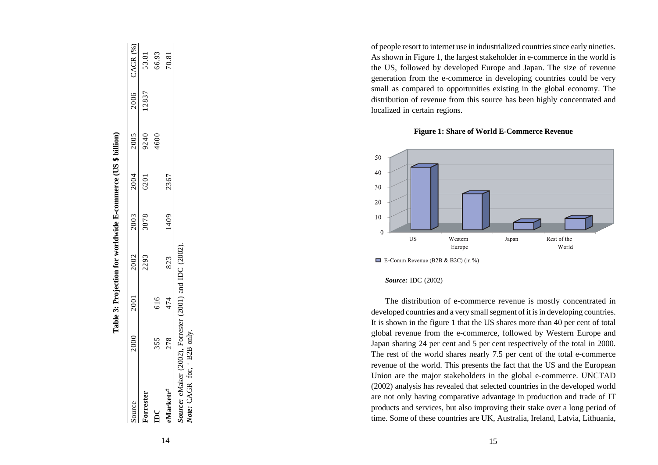| Source                    | 2000 | 2001 | 2002 | 2003 | 2004 | 2005 |       | 2006 CAGR (%) |
|---------------------------|------|------|------|------|------|------|-------|---------------|
| Torrester                 |      |      | 2293 | 3878 | 6201 | 9240 | 12837 | 53.81         |
| $\mathbf{B}^{\mathbf{C}}$ | 355  |      |      |      |      | 4600 |       | 66.93         |
| eMarketr <sup>#</sup>     | 278  | 474  | 823  | 1409 | 2367 |      |       | 70.81         |

[2002]. *Source:* eMaker (2002), Forrester (2001) and IDC (2002).  $_{\rm and}$  $(2001)$ 

*Note:* CAGR for, ‡ B2B only.

of people resort to internet use in industrialized countries since early nineties. As shown in Figure 1, the largest stakeholder in e-commerce in the world is the US, followed by developed Europe and Japan. The size of revenue generation from the e-commerce in developing countries could be very small as compared to opportunities existing in the global economy. The distribution of revenue from this source has been highly concentrated and localized in certain regions.

**Figure 1: Share of World E-Commerce Revenue**



 $\blacksquare$  E-Comm Revenue (B2B & B2C) (in %)

#### *Source:* IDC (2002)

The distribution of e-commerce revenue is mostly concentrated in developed countries and a very small segment of it is in developing countries. It is shown in the figure 1 that the US shares more than 40 per cent of total global revenue from the e-commerce, followed by Western Europe and Japan sharing 24 per cent and 5 per cent respectively of the total in 2000. The rest of the world shares nearly 7.5 per cent of the total e-commerce revenue of the world. This presents the fact that the US and the European Union are the major stakeholders in the global e-commerce. UNCTAD (2002) analysis has revealed that selected countries in the developed world are not only having comparative advantage in production and trade of IT products and services, but also improving their stake over a long period of time. Some of these countries are UK, Australia, Ireland, Latvia, Lithuania,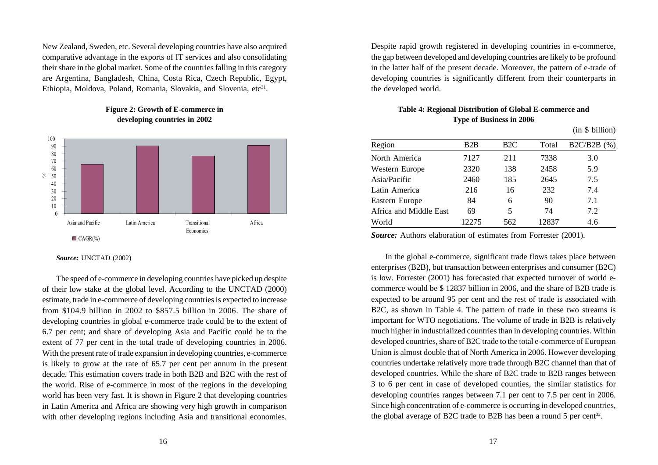New Zealand, Sweden, etc. Several developing countries have also acquired comparative advantage in the exports of IT services and also consolidating their share in the global market. Some of the countries falling in this category are Argentina, Bangladesh, China, Costa Rica, Czech Republic, Egypt, Ethiopia, Moldova, Poland, Romania, Slovakia, and Slovenia,  $etc<sup>31</sup>$ .



#### **Figure 2: Growth of E-commerce in developing countries in 2002**

*Source:* UNCTAD (2002)

The speed of e-commerce in developing countries have picked up despite of their low stake at the global level. According to the UNCTAD (2000) estimate, trade in e-commerce of developing countries is expected to increase from \$104.9 billion in 2002 to \$857.5 billion in 2006. The share of developing countries in global e-commerce trade could be to the extent of 6.7 per cent; and share of developing Asia and Pacific could be to the extent of 77 per cent in the total trade of developing countries in 2006. With the present rate of trade expansion in developing countries, e-commerce is likely to grow at the rate of 65.7 per cent per annum in the present decade. This estimation covers trade in both B2B and B2C with the rest of the world. Rise of e-commerce in most of the regions in the developing world has been very fast. It is shown in Figure 2 that developing countries in Latin America and Africa are showing very high growth in comparison with other developing regions including Asia and transitional economies.

Despite rapid growth registered in developing countries in e-commerce, the gap between developed and developing countries are likely to be profound in the latter half of the present decade. Moreover, the pattern of e-trade of developing countries is significantly different from their counterparts in the developed world.

## **Table 4: Regional Distribution of Global E-commerce and Type of Business in 2006**

 $(in \&\text{billion})$ 

|                        |       |                  |       | $\mathbf{u} \in \mathbb{R}$ |
|------------------------|-------|------------------|-------|-----------------------------|
| Region                 | B2B   | B <sub>2</sub> C | Total | $B2C/B2B$ (%)               |
| North America          | 7127  | 211              | 7338  | 3.0                         |
| Western Europe         | 2320  | 138              | 2458  | 5.9                         |
| Asia/Pacific           | 2460  | 185              | 2645  | 7.5                         |
| Latin America          | 216   | 16               | 232   | 7.4                         |
| Eastern Europe         | 84    | 6                | 90    | 7.1                         |
| Africa and Middle East | 69    | 5                | 74    | 7.2                         |
| World                  | 12275 | 562              | 12837 | 4.6                         |
|                        |       |                  |       |                             |

*Source:* Authors elaboration of estimates from Forrester (2001).

In the global e-commerce, significant trade flows takes place between enterprises (B2B), but transaction between enterprises and consumer (B2C) is low. Forrester (2001) has forecasted that expected turnover of world ecommerce would be \$ 12837 billion in 2006, and the share of B2B trade is expected to be around 95 per cent and the rest of trade is associated with B2C, as shown in Table 4. The pattern of trade in these two streams is important for WTO negotiations. The volume of trade in B2B is relatively much higher in industrialized countries than in developing countries. Within developed countries, share of B2C trade to the total e-commerce of European Union is almost double that of North America in 2006. However developing countries undertake relatively more trade through B2C channel than that of developed countries. While the share of B2C trade to B2B ranges between 3 to 6 per cent in case of developed counties, the similar statistics for developing countries ranges between 7.1 per cent to 7.5 per cent in 2006. Since high concentration of e-commerce is occurring in developed countries, the global average of B2C trade to B2B has been a round 5 per cent<sup>32</sup>.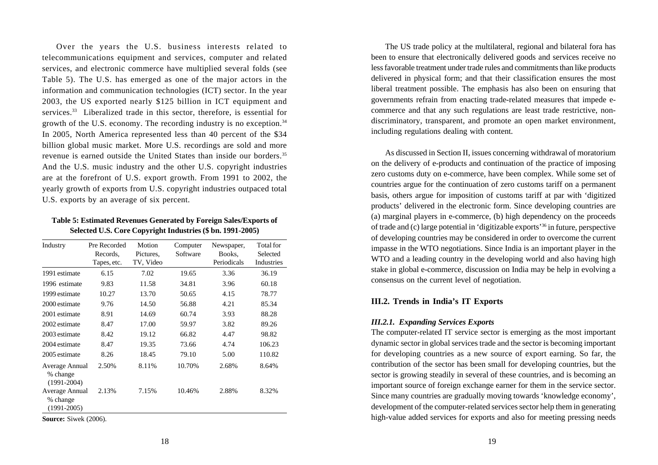Over the years the U.S. business interests related to telecommunications equipment and services, computer and related services, and electronic commerce have multiplied several folds (see Table 5). The U.S. has emerged as one of the major actors in the information and communication technologies (ICT) sector. In the year 2003, the US exported nearly \$125 billion in ICT equipment and services.<sup>33</sup> Liberalized trade in this sector, therefore, is essential for growth of the U.S. economy. The recording industry is no exception.34 In 2005, North America represented less than 40 percent of the \$34 billion global music market. More U.S. recordings are sold and more revenue is earned outside the United States than inside our borders.35 And the U.S. music industry and the other U.S. copyright industries are at the forefront of U.S. export growth. From 1991 to 2002, the yearly growth of exports from U.S. copyright industries outpaced total U.S. exports by an average of six percent.

**Table 5: Estimated Revenues Generated by Foreign Sales/Exports of Selected U.S. Core Copyright Industries (\$ bn. 1991-2005)**

| Industry                                      | Pre Recorded<br>Records.<br>Tapes, etc. | Motion<br>Pictures,<br>TV, Video | Computer<br>Software | Newspaper,<br>Books.<br>Periodicals | Total for<br>Selected<br>Industries |
|-----------------------------------------------|-----------------------------------------|----------------------------------|----------------------|-------------------------------------|-------------------------------------|
| 1991 estimate                                 | 6.15                                    | 7.02                             | 19.65                | 3.36                                | 36.19                               |
| 1996 estimate                                 | 9.83                                    | 11.58                            | 34.81                | 3.96                                | 60.18                               |
| 1999 estimate                                 | 10.27                                   | 13.70                            | 50.65                | 4.15                                | 78.77                               |
| 2000 estimate                                 | 9.76                                    | 14.50                            | 56.88                | 4.21                                | 85.34                               |
| 2001 estimate                                 | 8.91                                    | 14.69                            | 60.74                | 3.93                                | 88.28                               |
| 2002 estimate                                 | 8.47                                    | 17.00                            | 59.97                | 3.82                                | 89.26                               |
| 2003 estimate                                 | 8.42                                    | 19.12                            | 66.82                | 4.47                                | 98.82                               |
| 2004 estimate                                 | 8.47                                    | 19.35                            | 73.66                | 4.74                                | 106.23                              |
| 2005 estimate                                 | 8.26                                    | 18.45                            | 79.10                | 5.00                                | 110.82                              |
| Average Annual<br>% change<br>$(1991 - 2004)$ | 2.50%                                   | 8.11%                            | 10.70%               | 2.68%                               | 8.64%                               |
| Average Annual<br>% change<br>$(1991 - 2005)$ | 2.13%                                   | 7.15%                            | 10.46%               | 2.88%                               | 8.32%                               |

**Source:** Siwek (2006).

The US trade policy at the multilateral, regional and bilateral fora has been to ensure that electronically delivered goods and services receive no less favorable treatment under trade rules and commitments than like products delivered in physical form; and that their classification ensures the most liberal treatment possible. The emphasis has also been on ensuring that governments refrain from enacting trade-related measures that impede ecommerce and that any such regulations are least trade restrictive, nondiscriminatory, transparent, and promote an open market environment, including regulations dealing with content.

As discussed in Section II, issues concerning withdrawal of moratorium on the delivery of e-products and continuation of the practice of imposing zero customs duty on e-commerce, have been complex. While some set of countries argue for the continuation of zero customs tariff on a permanent basis, others argue for imposition of customs tariff at par with 'digitized products' delivered in the electronic form. Since developing countries are (a) marginal players in e-commerce, (b) high dependency on the proceeds of trade and (c) large potential in 'digitizable exports'36 in future, perspective of developing countries may be considered in order to overcome the current impasse in the WTO negotiations. Since India is an important player in the WTO and a leading country in the developing world and also having high stake in global e-commerce, discussion on India may be help in evolving a consensus on the current level of negotiation.

#### **III.2. Trends in India's IT Exports**

#### *III.2.1. Expanding Services Exports*

The computer-related IT service sector is emerging as the most important dynamic sector in global services trade and the sector is becoming important for developing countries as a new source of export earning. So far, the contribution of the sector has been small for developing countries, but the sector is growing steadily in several of these countries, and is becoming an important source of foreign exchange earner for them in the service sector. Since many countries are gradually moving towards 'knowledge economy', development of the computer-related services sector help them in generating high-value added services for exports and also for meeting pressing needs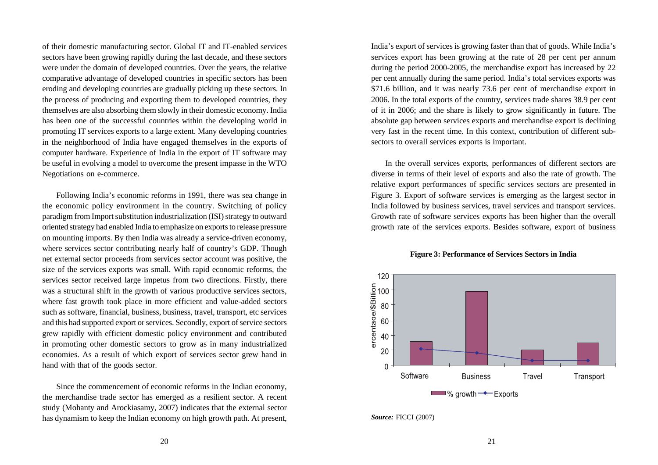of their domestic manufacturing sector. Global IT and IT-enabled services sectors have been growing rapidly during the last decade, and these sectors were under the domain of developed countries. Over the years, the relative comparative advantage of developed countries in specific sectors has been eroding and developing countries are gradually picking up these sectors. In the process of producing and exporting them to developed countries, they themselves are also absorbing them slowly in their domestic economy. India has been one of the successful countries within the developing world in promoting IT services exports to a large extent. Many developing countries in the neighborhood of India have engaged themselves in the exports of computer hardware. Experience of India in the export of IT software may be useful in evolving a model to overcome the present impasse in the WTO Negotiations on e-commerce.

Following India's economic reforms in 1991, there was sea change in the economic policy environment in the country. Switching of policy paradigm from Import substitution industrialization (ISI) strategy to outward oriented strategy had enabled India to emphasize on exports to release pressure on mounting imports. By then India was already a service-driven economy, where services sector contributing nearly half of country's GDP. Though net external sector proceeds from services sector account was positive, the size of the services exports was small. With rapid economic reforms, the services sector received large impetus from two directions. Firstly, there was a structural shift in the growth of various productive services sectors, where fast growth took place in more efficient and value-added sectors such as software, financial, business, business, travel, transport, etc services and this had supported export or services. Secondly, export of service sectors grew rapidly with efficient domestic policy environment and contributed in promoting other domestic sectors to grow as in many industrialized economies. As a result of which export of services sector grew hand in hand with that of the goods sector.

Since the commencement of economic reforms in the Indian economy, the merchandise trade sector has emerged as a resilient sector. A recent study (Mohanty and Arockiasamy, 2007) indicates that the external sector has dynamism to keep the Indian economy on high growth path. At present,

India's export of services is growing faster than that of goods. While India's services export has been growing at the rate of 28 per cent per annum during the period 2000-2005, the merchandise export has increased by 22 per cent annually during the same period. India's total services exports was \$71.6 billion, and it was nearly 73.6 per cent of merchandise export in 2006. In the total exports of the country, services trade shares 38.9 per cent of it in 2006; and the share is likely to grow significantly in future. The absolute gap between services exports and merchandise export is declining very fast in the recent time. In this context, contribution of different subsectors to overall services exports is important.

In the overall services exports, performances of different sectors are diverse in terms of their level of exports and also the rate of growth. The relative export performances of specific services sectors are presented in Figure 3. Export of software services is emerging as the largest sector in India followed by business services, travel services and transport services. Growth rate of software services exports has been higher than the overall growth rate of the services exports. Besides software, export of business



#### **Figure 3: Performance of Services Sectors in India**

*Source:* FICCI (2007)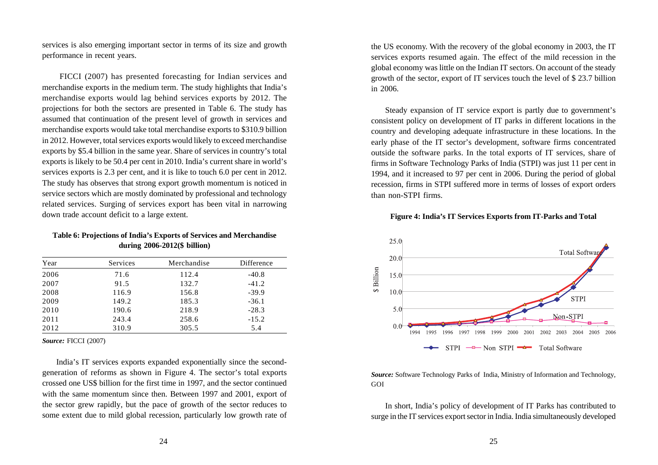services is also emerging important sector in terms of its size and growth performance in recent years.

 FICCI (2007) has presented forecasting for Indian services and merchandise exports in the medium term. The study highlights that India's merchandise exports would lag behind services exports by 2012. The projections for both the sectors are presented in Table 6. The study has assumed that continuation of the present level of growth in services and merchandise exports would take total merchandise exports to \$310.9 billion in 2012. However, total services exports would likely to exceed merchandise exports by \$5.4 billion in the same year. Share of services in country's total exports is likely to be 50.4 per cent in 2010. India's current share in world's services exports is 2.3 per cent, and it is like to touch 6.0 per cent in 2012. The study has observes that strong export growth momentum is noticed in service sectors which are mostly dominated by professional and technology related services. Surging of services export has been vital in narrowing down trade account deficit to a large extent.

#### **Table 6: Projections of India's Exports of Services and Merchandise during 2006-2012(\$ billion)**

| Year | Services | Merchandise | Difference |
|------|----------|-------------|------------|
| 2006 | 71.6     | 112.4       | $-40.8$    |
| 2007 | 91.5     | 132.7       | $-41.2$    |
| 2008 | 116.9    | 156.8       | $-39.9$    |
| 2009 | 149.2    | 185.3       | $-36.1$    |
| 2010 | 190.6    | 218.9       | $-28.3$    |
| 2011 | 243.4    | 258.6       | $-15.2$    |
| 2012 | 310.9    | 305.5       | 5.4        |
|      |          |             |            |

*Source:* FICCI (2007)

India's IT services exports expanded exponentially since the secondgeneration of reforms as shown in Figure 4. The sector's total exports crossed one US\$ billion for the first time in 1997, and the sector continued with the same momentum since then. Between 1997 and 2001, export of the sector grew rapidly, but the pace of growth of the sector reduces to some extent due to mild global recession, particularly low growth rate of the US economy. With the recovery of the global economy in 2003, the IT services exports resumed again. The effect of the mild recession in the global economy was little on the Indian IT sectors. On account of the steady growth of the sector, export of IT services touch the level of \$ 23.7 billion in 2006.

Steady expansion of IT service export is partly due to government's consistent policy on development of IT parks in different locations in the country and developing adequate infrastructure in these locations. In the early phase of the IT sector's development, software firms concentrated outside the software parks. In the total exports of IT services, share of firms in Software Technology Parks of India (STPI) was just 11 per cent in 1994, and it increased to 97 per cent in 2006. During the period of global recession, firms in STPI suffered more in terms of losses of export orders than non-STPI firms.

#### **Figure 4: India's IT Services Exports from IT-Parks and Total**



*Source:* Software Technology Parks of India, Ministry of Information and Technology, GOI

In short, India's policy of development of IT Parks has contributed to surge in the IT services export sector in India. India simultaneously developed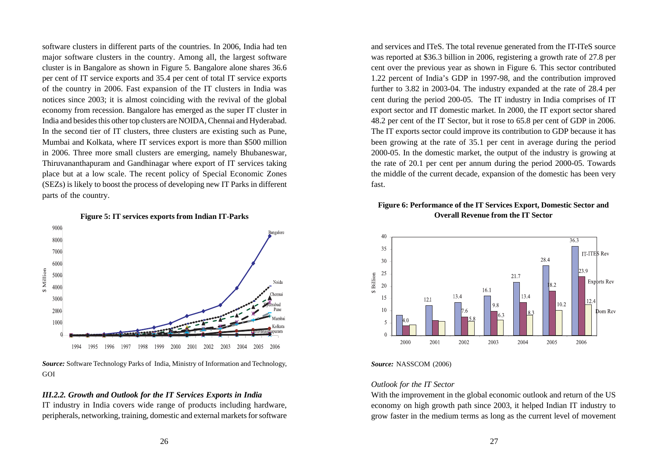software clusters in different parts of the countries. In 2006, India had ten major software clusters in the country. Among all, the largest software cluster is in Bangalore as shown in Figure 5. Bangalore alone shares 36.6 per cent of IT service exports and 35.4 per cent of total IT service exports of the country in 2006. Fast expansion of the IT clusters in India was notices since 2003; it is almost coinciding with the revival of the global economy from recession. Bangalore has emerged as the super IT cluster in India and besides this other top clusters are NOIDA, Chennai and Hyderabad. In the second tier of IT clusters, three clusters are existing such as Pune, Mumbai and Kolkata, where IT services export is more than \$500 million in 2006. Three more small clusters are emerging, namely Bhubaneswar, Thiruvananthapuram and Gandhinagar where export of IT services taking place but at a low scale. The recent policy of Special Economic Zones (SEZs) is likely to boost the process of developing new IT Parks in different parts of the country.





*Source:* Software Technology Parks of India, Ministry of Information and Technology, GOI

## *III.2.2. Growth and Outlook for the IT Services Exports in India*

IT industry in India covers wide range of products including hardware, peripherals, networking, training, domestic and external markets for software and services and ITeS. The total revenue generated from the IT-ITeS source was reported at \$36.3 billion in 2006, registering a growth rate of 27.8 per cent over the previous year as shown in Figure 6. This sector contributed 1.22 percent of India's GDP in 1997-98, and the contribution improved further to 3.82 in 2003-04. The industry expanded at the rate of 28.4 per cent during the period 200-05. The IT industry in India comprises of IT export sector and IT domestic market. In 2000, the IT export sector shared 48.2 per cent of the IT Sector, but it rose to 65.8 per cent of GDP in 2006. The IT exports sector could improve its contribution to GDP because it has been growing at the rate of 35.1 per cent in average during the period 2000-05. In the domestic market, the output of the industry is growing at the rate of 20.1 per cent per annum during the period 2000-05. Towards the middle of the current decade, expansion of the domestic has been very fast.

#### **Figure 6: Performance of the IT Services Export, Domestic Sector and Overall Revenue from the IT Sector**



#### *Source:* NASSCOM (2006)

#### *Outlook for the IT Sector*

With the improvement in the global economic outlook and return of the US economy on high growth path since 2003, it helped Indian IT industry to grow faster in the medium terms as long as the current level of movement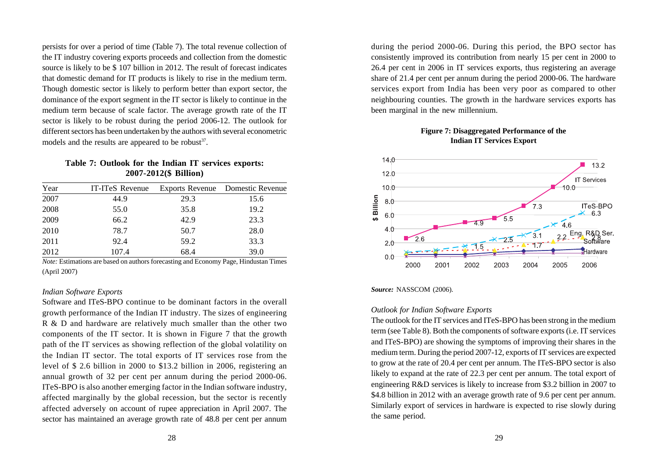persists for over a period of time (Table 7). The total revenue collection of the IT industry covering exports proceeds and collection from the domestic source is likely to be \$ 107 billion in 2012. The result of forecast indicates that domestic demand for IT products is likely to rise in the medium term. Though domestic sector is likely to perform better than export sector, the dominance of the export segment in the IT sector is likely to continue in the medium term because of scale factor. The average growth rate of the IT sector is likely to be robust during the period 2006-12. The outlook for different sectors has been undertaken by the authors with several econometric models and the results are appeared to be robust $37$ .

#### **Table 7: Outlook for the Indian IT services exports: 2007-2012(\$ Billion)**

| Year | IT-ITeS Revenue |      | Exports Revenue Domestic Revenue |
|------|-----------------|------|----------------------------------|
| 2007 | 44.9            | 29.3 | 15.6                             |
| 2008 | 55.0            | 35.8 | 19.2                             |
| 2009 | 66.2            | 42.9 | 23.3                             |
| 2010 | 78.7            | 50.7 | 28.0                             |
| 2011 | 92.4            | 59.2 | 33.3                             |
| 2012 | 107.4           | 68.4 | 39.0                             |

*Note:* Estimations are based on authors forecasting and Economy Page, Hindustan Times (April 2007)

#### *Indian Software Exports*

Software and ITeS-BPO continue to be dominant factors in the overall growth performance of the Indian IT industry. The sizes of engineering R & D and hardware are relatively much smaller than the other two components of the IT sector. It is shown in Figure 7 that the growth path of the IT services as showing reflection of the global volatility on the Indian IT sector. The total exports of IT services rose from the level of \$ 2.6 billion in 2000 to \$13.2 billion in 2006, registering an annual growth of 32 per cent per annum during the period 2000-06. ITeS-BPO is also another emerging factor in the Indian software industry, affected marginally by the global recession, but the sector is recently affected adversely on account of rupee appreciation in April 2007. The sector has maintained an average growth rate of 48.8 per cent per annum

during the period 2000-06. During this period, the BPO sector has consistently improved its contribution from nearly 15 per cent in 2000 to 26.4 per cent in 2006 in IT services exports, thus registering an average share of 21.4 per cent per annum during the period 2000-06. The hardware services export from India has been very poor as compared to other neighbouring counties. The growth in the hardware services exports has been marginal in the new millennium.

> **Figure 7: Disaggregated Performance of the Indian IT Services Export**



#### *Source:* NASSCOM (2006).

#### *Outlook for Indian Software Exports*

The outlook for the IT services and ITeS-BPO has been strong in the medium term (see Table 8). Both the components of software exports (i.e. IT services and ITeS-BPO) are showing the symptoms of improving their shares in the medium term. During the period 2007-12, exports of IT services are expected to grow at the rate of 20.4 per cent per annum. The ITeS-BPO sector is also likely to expand at the rate of 22.3 per cent per annum. The total export of engineering R&D services is likely to increase from \$3.2 billion in 2007 to \$4.8 billion in 2012 with an average growth rate of 9.6 per cent per annum. Similarly export of services in hardware is expected to rise slowly during the same period.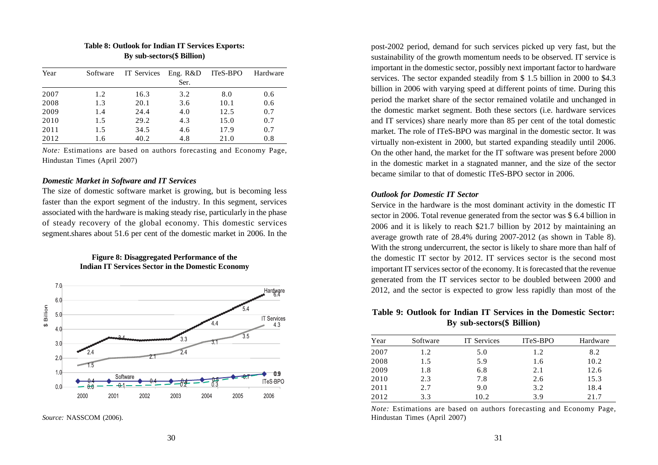| Year | Software | IT Services | Eng. R&D | ITeS-BPO | Hardware |
|------|----------|-------------|----------|----------|----------|
|      |          |             | Ser.     |          |          |
| 2007 | 1.2      | 16.3        | 3.2      | 8.0      | 0.6      |
| 2008 | 1.3      | 20.1        | 3.6      | 10.1     | 0.6      |
| 2009 | 1.4      | 24.4        | 4.0      | 12.5     | 0.7      |
| 2010 | 1.5      | 29.2        | 4.3      | 15.0     | 0.7      |
| 2011 | 1.5      | 34.5        | 4.6      | 17.9     | 0.7      |
| 2012 | 1.6      | 40.2        | 4.8      | 21.0     | 0.8      |

#### **Table 8: Outlook for Indian IT Services Exports: By sub-sectors(\$ Billion)**

*Note:* Estimations are based on authors forecasting and Economy Page, Hindustan Times (April 2007)

#### *Domestic Market in Software and IT Services*

The size of domestic software market is growing, but is becoming less faster than the export segment of the industry. In this segment, services associated with the hardware is making steady rise, particularly in the phase of steady recovery of the global economy. This domestic services segment.shares about 51.6 per cent of the domestic market in 2006. In the

#### **Figure 8: Disaggregated Performance of the Indian IT Services Sector in the Domestic Economy**



*Source:* NASSCOM (2006).

post-2002 period, demand for such services picked up very fast, but the sustainability of the growth momentum needs to be observed. IT service is important in the domestic sector, possibly next important factor to hardware services. The sector expanded steadily from \$ 1.5 billion in 2000 to \$4.3 billion in 2006 with varying speed at different points of time. During this period the market share of the sector remained volatile and unchanged in the domestic market segment. Both these sectors (i.e. hardware services and IT services) share nearly more than 85 per cent of the total domestic market. The role of ITeS-BPO was marginal in the domestic sector. It was virtually non-existent in 2000, but started expanding steadily until 2006. On the other hand, the market for the IT software was present before 2000 in the domestic market in a stagnated manner, and the size of the sector became similar to that of domestic ITeS-BPO sector in 2006.

#### *Outlook for Domestic IT Sector*

Service in the hardware is the most dominant activity in the domestic IT sector in 2006. Total revenue generated from the sector was \$ 6.4 billion in 2006 and it is likely to reach \$21.7 billion by 2012 by maintaining an average growth rate of 28.4% during 2007-2012 (as shown in Table 8). With the strong undercurrent, the sector is likely to share more than half of the domestic IT sector by 2012. IT services sector is the second most important IT services sector of the economy. It is forecasted that the revenue generated from the IT services sector to be doubled between 2000 and 2012, and the sector is expected to grow less rapidly than most of the

#### **Table 9: Outlook for Indian IT Services in the Domestic Sector: By sub-sectors(\$ Billion)**

| Year | Software | <b>IT</b> Services | ITeS-BPO | Hardware |
|------|----------|--------------------|----------|----------|
| 2007 | 1.2      | 5.0                | 1.2      | 8.2      |
| 2008 | 1.5      | 5.9                | 1.6      | 10.2     |
| 2009 | 1.8      | 6.8                | 2.1      | 12.6     |
| 2010 | 2.3      | 7.8                | 2.6      | 15.3     |
| 2011 | 2.7      | 9.0                | 3.2      | 18.4     |
| 2012 | 3.3      | 10.2               | 3.9      | 21.7     |

*Note:* Estimations are based on authors forecasting and Economy Page, Hindustan Times (April 2007)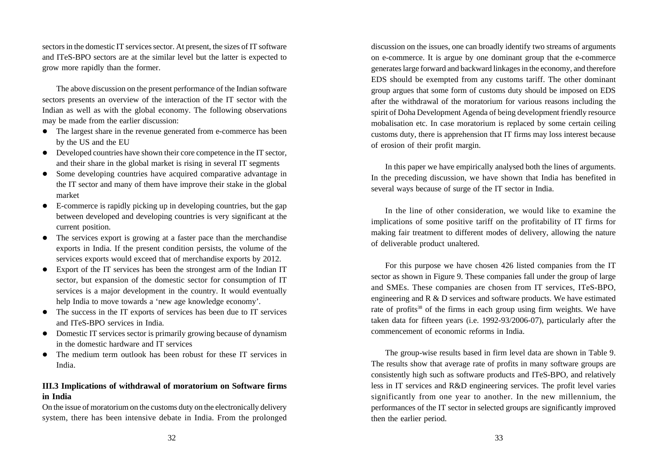sectors in the domestic IT services sector. At present, the sizes of IT software and ITeS-BPO sectors are at the similar level but the latter is expected to grow more rapidly than the former.

The above discussion on the present performance of the Indian software sectors presents an overview of the interaction of the IT sector with the Indian as well as with the global economy. The following observations may be made from the earlier discussion:

- The largest share in the revenue generated from e-commerce has been by the US and the EU
- Developed countries have shown their core competence in the IT sector, and their share in the global market is rising in several IT segments
- Some developing countries have acquired comparative advantage in the IT sector and many of them have improve their stake in the global market
- $\bullet$  E-commerce is rapidly picking up in developing countries, but the gap between developed and developing countries is very significant at the current position.
- The services export is growing at a faster pace than the merchandise exports in India. If the present condition persists, the volume of the services exports would exceed that of merchandise exports by 2012.
- Export of the IT services has been the strongest arm of the Indian IT sector, but expansion of the domestic sector for consumption of IT services is a major development in the country. It would eventually help India to move towards a 'new age knowledge economy'.
- The success in the IT exports of services has been due to IT services and ITeS-BPO services in India.
- Domestic IT services sector is primarily growing because of dynamism in the domestic hardware and IT services
- The medium term outlook has been robust for these IT services in India.

## **III.3 Implications of withdrawal of moratorium on Software firms in India**

On the issue of moratorium on the customs duty on the electronically delivery system, there has been intensive debate in India. From the prolonged discussion on the issues, one can broadly identify two streams of arguments on e-commerce. It is argue by one dominant group that the e-commerce generates large forward and backward linkages in the economy, and therefore EDS should be exempted from any customs tariff. The other dominant group argues that some form of customs duty should be imposed on EDS after the withdrawal of the moratorium for various reasons including the spirit of Doha Development Agenda of being development friendly resource mobalisation etc. In case moratorium is replaced by some certain ceiling customs duty, there is apprehension that IT firms may loss interest because of erosion of their profit margin.

In this paper we have empirically analysed both the lines of arguments. In the preceding discussion, we have shown that India has benefited in several ways because of surge of the IT sector in India.

In the line of other consideration, we would like to examine the implications of some positive tariff on the profitability of IT firms for making fair treatment to different modes of delivery, allowing the nature of deliverable product unaltered.

For this purpose we have chosen 426 listed companies from the IT sector as shown in Figure 9. These companies fall under the group of large and SMEs. These companies are chosen from IT services, ITeS-BPO, engineering and R & D services and software products. We have estimated rate of profits<sup>38</sup> of the firms in each group using firm weights. We have taken data for fifteen years (i.e. 1992-93/2006-07), particularly after the commencement of economic reforms in India.

The group-wise results based in firm level data are shown in Table 9. The results show that average rate of profits in many software groups are consistently high such as software products and ITeS-BPO, and relatively less in IT services and R&D engineering services. The profit level varies significantly from one year to another. In the new millennium, the performances of the IT sector in selected groups are significantly improved then the earlier period.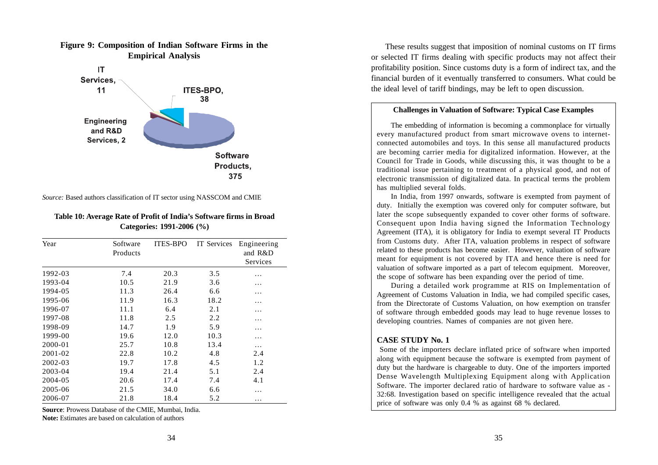

#### **Figure 9: Composition of Indian Software Firms in the Empirical Analysis**

*Source:* Based authors classification of IT sector using NASSCOM and CMIE

#### **Table 10: Average Rate of Profit of India's Software firms in Broad Categories: 1991-2006 (%)**

| Year    | Software | <b>ITES-BPO</b> | IT Services | Engineering |
|---------|----------|-----------------|-------------|-------------|
|         | Products |                 |             | and R&D     |
|         |          |                 |             | Services    |
| 1992-03 | 7.4      | 20.3            | 3.5         | .           |
| 1993-04 | 10.5     | 21.9            | 3.6         | .           |
| 1994-05 | 11.3     | 26.4            | 6.6         | .           |
| 1995-06 | 11.9     | 16.3            | 18.2        | .           |
| 1996-07 | 11.1     | 6.4             | 2.1         | .           |
| 1997-08 | 11.8     | 2.5             | 2.2         | .           |
| 1998-09 | 14.7     | 1.9             | 5.9         | .           |
| 1999-00 | 19.6     | 12.0            | 10.3        | .           |
| 2000-01 | 25.7     | 10.8            | 13.4        | .           |
| 2001-02 | 22.8     | 10.2            | 4.8         | 2.4         |
| 2002-03 | 19.7     | 17.8            | 4.5         | 1.2         |
| 2003-04 | 19.4     | 21.4            | 5.1         | 2.4         |
| 2004-05 | 20.6     | 17.4            | 7.4         | 4.1         |
| 2005-06 | 21.5     | 34.0            | 6.6         | .           |
| 2006-07 | 21.8     | 18.4            | 5.2         | $\ddotsc$   |

**Source**: Prowess Database of the CMIE, Mumbai, India. **Note:** Estimates are based on calculation of authors

These results suggest that imposition of nominal customs on IT firms or selected IT firms dealing with specific products may not affect their profitability position. Since customs duty is a form of indirect tax, and the financial burden of it eventually transferred to consumers. What could be the ideal level of tariff bindings, may be left to open discussion.

#### **Challenges in Valuation of Software: Typical Case Examples**

The embedding of information is becoming a commonplace for virtually every manufactured product from smart microwave ovens to internetconnected automobiles and toys. In this sense all manufactured products are becoming carrier media for digitalized information. However, at the Council for Trade in Goods, while discussing this, it was thought to be a traditional issue pertaining to treatment of a physical good, and not of electronic transmission of digitalized data. In practical terms the problem has multiplied several folds.

In India, from 1997 onwards, software is exempted from payment of duty. Initially the exemption was covered only for computer software, but later the scope subsequently expanded to cover other forms of software. Consequent upon India having signed the Information Technology Agreement (ITA), it is obligatory for India to exempt several IT Products from Customs duty. After ITA, valuation problems in respect of software related to these products has become easier. However, valuation of software meant for equipment is not covered by ITA and hence there is need for valuation of software imported as a part of telecom equipment. Moreover, the scope of software has been expanding over the period of time.

During a detailed work programme at RIS on Implementation of Agreement of Customs Valuation in India, we had compiled specific cases, from the Directorate of Customs Valuation, on how exemption on transfer of software through embedded goods may lead to huge revenue losses to developing countries. Names of companies are not given here.

#### **CASE STUDY No. 1**

 Some of the importers declare inflated price of software when imported along with equipment because the software is exempted from payment of duty but the hardware is chargeable to duty. One of the importers imported Dense Wavelength Multiplexing Equipment along with Application Software. The importer declared ratio of hardware to software value as - 32:68. Investigation based on specific intelligence revealed that the actual price of software was only 0.4 % as against 68 % declared.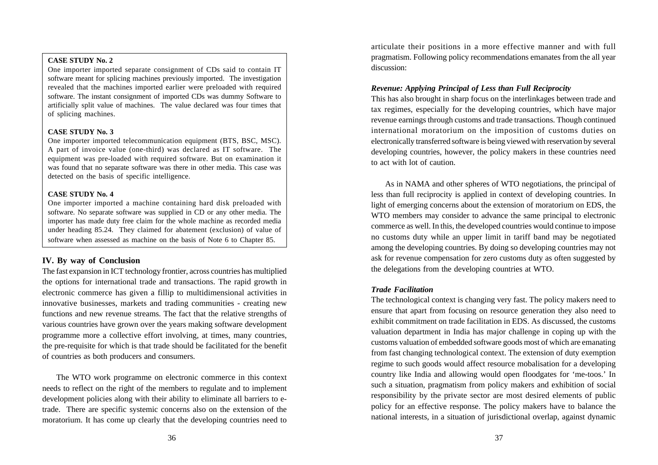#### **CASE STUDY No. 2**

One importer imported separate consignment of CDs said to contain IT software meant for splicing machines previously imported. The investigation revealed that the machines imported earlier were preloaded with required software. The instant consignment of imported CDs was dummy Software to artificially split value of machines. The value declared was four times that of splicing machines.

#### **CASE STUDY No. 3**

One importer imported telecommunication equipment (BTS, BSC, MSC). A part of invoice value (one-third) was declared as IT software. The equipment was pre-loaded with required software. But on examination it was found that no separate software was there in other media. This case was detected on the basis of specific intelligence.

#### **CASE STUDY No. 4**

One importer imported a machine containing hard disk preloaded with software. No separate software was supplied in CD or any other media. The importer has made duty free claim for the whole machine as recorded media under heading 85.24. They claimed for abatement (exclusion) of value of software when assessed as machine on the basis of Note 6 to Chapter 85.

## **IV. By way of Conclusion**

The fast expansion in ICT technology frontier, across countries has multiplied the options for international trade and transactions. The rapid growth in electronic commerce has given a fillip to multidimensional activities in innovative businesses, markets and trading communities - creating new functions and new revenue streams. The fact that the relative strengths of various countries have grown over the years making software development programme more a collective effort involving, at times, many countries, the pre-requisite for which is that trade should be facilitated for the benefit of countries as both producers and consumers.

The WTO work programme on electronic commerce in this context needs to reflect on the right of the members to regulate and to implement development policies along with their ability to eliminate all barriers to etrade. There are specific systemic concerns also on the extension of the moratorium. It has come up clearly that the developing countries need to

articulate their positions in a more effective manner and with full pragmatism. Following policy recommendations emanates from the all year discussion:

#### *Revenue: Applying Principal of Less than Full Reciprocity*

This has also brought in sharp focus on the interlinkages between trade and tax regimes, especially for the developing countries, which have major revenue earnings through customs and trade transactions. Though continued international moratorium on the imposition of customs duties on electronically transferred software is being viewed with reservation by several developing countries, however, the policy makers in these countries need to act with lot of caution.

As in NAMA and other spheres of WTO negotiations, the principal of less than full reciprocity is applied in context of developing countries. In light of emerging concerns about the extension of moratorium on EDS, the WTO members may consider to advance the same principal to electronic commerce as well. In this, the developed countries would continue to impose no customs duty while an upper limit in tariff band may be negotiated among the developing countries. By doing so developing countries may not ask for revenue compensation for zero customs duty as often suggested by the delegations from the developing countries at WTO.

#### *Trade Facilitation*

The technological context is changing very fast. The policy makers need to ensure that apart from focusing on resource generation they also need to exhibit commitment on trade facilitation in EDS. As discussed, the customs valuation department in India has major challenge in coping up with the customs valuation of embedded software goods most of which are emanating from fast changing technological context. The extension of duty exemption regime to such goods would affect resource mobalisation for a developing country like India and allowing would open floodgates for 'me-toos.' In such a situation, pragmatism from policy makers and exhibition of social responsibility by the private sector are most desired elements of public policy for an effective response. The policy makers have to balance the national interests, in a situation of jurisdictional overlap, against dynamic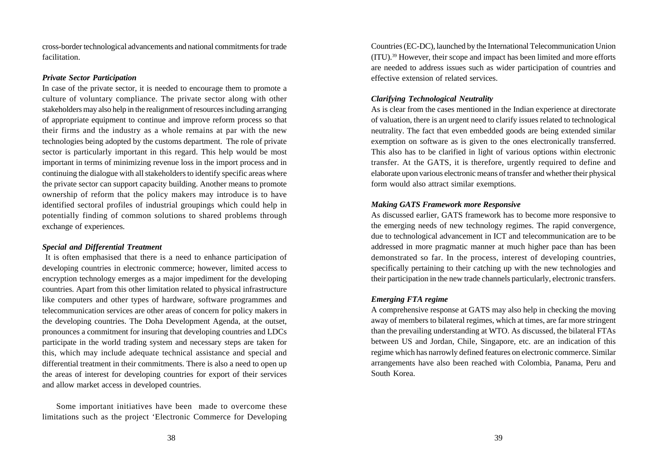cross-border technological advancements and national commitments for trade facilitation.

#### *Private Sector Participation*

In case of the private sector, it is needed to encourage them to promote a culture of voluntary compliance. The private sector along with other stakeholders may also help in the realignment of resources including arranging of appropriate equipment to continue and improve reform process so that their firms and the industry as a whole remains at par with the new technologies being adopted by the customs department. The role of private sector is particularly important in this regard. This help would be most important in terms of minimizing revenue loss in the import process and in continuing the dialogue with all stakeholders to identify specific areas where the private sector can support capacity building. Another means to promote ownership of reform that the policy makers may introduce is to have identified sectoral profiles of industrial groupings which could help in potentially finding of common solutions to shared problems through exchange of experiences.

#### *Special and Differential Treatment*

 It is often emphasised that there is a need to enhance participation of developing countries in electronic commerce; however, limited access to encryption technology emerges as a major impediment for the developing countries. Apart from this other limitation related to physical infrastructure like computers and other types of hardware, software programmes and telecommunication services are other areas of concern for policy makers in the developing countries. The Doha Development Agenda, at the outset, pronounces a commitment for insuring that developing countries and LDCs participate in the world trading system and necessary steps are taken for this, which may include adequate technical assistance and special and differential treatment in their commitments. There is also a need to open up the areas of interest for developing countries for export of their services and allow market access in developed countries.

Some important initiatives have been made to overcome these limitations such as the project 'Electronic Commerce for Developing Countries (EC-DC), launched by the International Telecommunication Union (ITU).39 However, their scope and impact has been limited and more efforts are needed to address issues such as wider participation of countries and effective extension of related services.

## *Clarifying Technological Neutrality*

As is clear from the cases mentioned in the Indian experience at directorate of valuation, there is an urgent need to clarify issues related to technological neutrality. The fact that even embedded goods are being extended similar exemption on software as is given to the ones electronically transferred. This also has to be clarified in light of various options within electronic transfer. At the GATS, it is therefore, urgently required to define and elaborate upon various electronic means of transfer and whether their physical form would also attract similar exemptions.

## *Making GATS Framework more Responsive*

As discussed earlier, GATS framework has to become more responsive to the emerging needs of new technology regimes. The rapid convergence, due to technological advancement in ICT and telecommunication are to be addressed in more pragmatic manner at much higher pace than has been demonstrated so far. In the process, interest of developing countries, specifically pertaining to their catching up with the new technologies and their participation in the new trade channels particularly, electronic transfers.

#### *Emerging FTA regime*

A comprehensive response at GATS may also help in checking the moving away of members to bilateral regimes, which at times, are far more stringent than the prevailing understanding at WTO. As discussed, the bilateral FTAs between US and Jordan, Chile, Singapore, etc. are an indication of this regime which has narrowly defined features on electronic commerce. Similar arrangements have also been reached with Colombia, Panama, Peru and South Korea.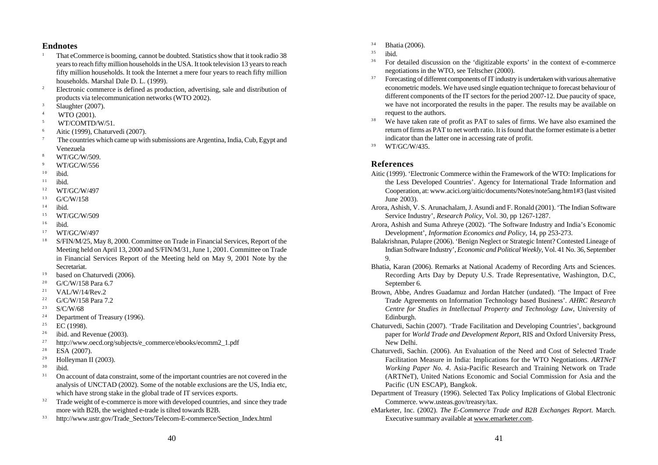#### **Endnotes**

- <sup>1</sup> That eCommerce is booming, cannot be doubted. Statistics show that it took radio 38 years to reach fifty million households in the USA. It took television 13 years to reach fifty million households. It took the Internet a mere four years to reach fifty million households. Marshal Dale D. L. (1999).
- <sup>2</sup> Electronic commerce is defined as production, advertising, sale and distribution of products via telecommunication networks (WTO 2002).
- $3 \qquad$  Slaughter (2007).
- WTO (2001).
- 5 WT/COMTD/W/51.
- <sup>6</sup> Aitic (1999), Chaturvedi (2007).
- <sup>7</sup> The countries which came up with submissions are Argentina, India, Cub, Egypt and Venezuela
- <sup>8</sup> WT/GC/W/509.
- <sup>9</sup> WT/GC/W/556
- $10$  ibid.
- $11$  ibid.
- <sup>12</sup> WT/GC/W/497
- $^{13}$  G/C/W/158
- $14$  ibid.
- <sup>15</sup> WT/GC/W/509
- $16$  ibid.
- <sup>17</sup> WT/GC/W/497
- <sup>18</sup> S/FIN/M/25, May 8, 2000. Committee on Trade in Financial Services, Report of the Meeting held on April 13, 2000 and S/FIN/M/31, June 1, 2001. Committee on Trade in Financial Services Report of the Meeting held on May 9, 2001 Note by the Secretariat.
- $19$  based on Chaturvedi (2006).
- $^{20}$  G/C/W/158 Para 6.7
- $^{21}$  VAL/W/14/Rev. 2
- $^{22}$  G/C/W/158 Para 7.2
- $23$  S/C/W/68
- <sup>24</sup> Department of Treasury (1996).<br><sup>25</sup> EC (1998)
- EC (1998).
- $26$  ibid. and Revenue (2003).
- <sup>27</sup> http://www.oecd.org/subjects/e\_commerce/ebooks/ecomm2\_1.pdf
- $28$  ESA (2007).
- <sup>29</sup> Holleyman II (2003).<br><sup>30</sup> ibid
- ibid.
- <sup>31</sup> On account of data constraint, some of the important countries are not covered in the analysis of UNCTAD (2002). Some of the notable exclusions are the US, India etc, which have strong stake in the global trade of IT services exports.
- <sup>32</sup> Trade weight of e-commerce is more with developed countries, and since they trade more with B2B, the weighted e-trade is tilted towards B2B.
- <sup>3</sup> <sup>3</sup> http://www.ustr.gov/Trade\_Sectors/Telecom-E-commerce/Section\_Index.html
- $34$  Bhatia (2006).
- $35$  ibid.
- <sup>36</sup> For detailed discussion on the 'digitizable exports' in the context of e-commerce negotiations in the WTO, see Teltscher (2000).
- <sup>37</sup> Forecasting of different components of IT industry is undertaken with various alternative econometric models. We have used single equation technique to forecast behaviour of different components of the IT sectors for the period 2007-12. Due paucity of space, we have not incorporated the results in the paper. The results may be available on request to the authors.
- <sup>38</sup> We have taken rate of profit as PAT to sales of firms. We have also examined the return of firms as PAT to net worth ratio. It is found that the former estimate is a better indicator than the latter one in accessing rate of profit.
- <sup>39</sup> WT/GC/W/435.

## **References**

- Aitic (1999). 'Electronic Commerce within the Framework of the WTO: Implications for the Less Developed Countries'. Agency for International Trade Information and Cooperation, at: www.acici.org/aitic/documents/Notes/note5ang.htm1#3 (last visited June 2003).
- Arora, Ashish, V. S. Arunachalam, J. Asundi and F. Ronald (2001). 'The Indian Software Service Industry', *Research Policy,* Vol. 30, pp 1267-1287.
- Arora, Ashish and Suma Athreye (2002). 'The Software Industry and India's Economic Development', *Information Economics and Policy,* 14, pp 253-273.
- Balakrishnan, Pulapre (2006). 'Benign Neglect or Strategic Intent? Contested Lineage of Indian Software Industry', *Economic and Political Weekly,* Vol. 41 No. 36, September 9.
- Bhatia, Karan (2006). Remarks at National Academy of Recording Arts and Sciences. Recording Arts Day by Deputy U.S. Trade Representative, Washington, D.C, September 6.
- Brown, Abbe, Andres Guadamuz and Jordan Hatcher (undated). 'The Impact of Free Trade Agreements on Information Technology based Business'. *AHRC Research Centre for Studies in Intellectual Property and Technology Law*, University of Edinburgh.
- Chaturvedi, Sachin (2007). 'Trade Facilitation and Developing Countries', background paper for *World Trade and Development Report*, RIS and Oxford University Press, New Delhi.
- Chaturvedi, Sachin. (2006). An Evaluation of the Need and Cost of Selected Trade Facilitation Measure in India: Implications for the WTO Negotiations. *ARTNeT Working Paper No. 4*. Asia-Pacific Research and Training Network on Trade (ARTNeT), United Nations Economic and Social Commission for Asia and the Pacific (UN ESCAP), Bangkok.
- Department of Treasury (1996). Selected Tax Policy Implications of Global Electronic Commerce. www.usteas.gov/treasry/tax.
- eMarketer, Inc. (2002). *The E-Commerce Trade and B2B Exchanges Report.* March. Executive summary available at www.emarketer.com.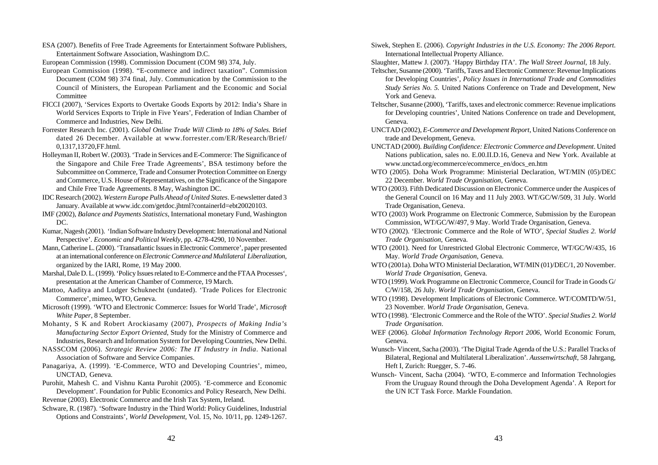ESA (2007). Benefits of Free Trade Agreements for Entertainment Software Publishers, Entertainment Software Association, Washingtom D.C.

European Commission (1998). Commission Document (COM 98) 374, July.

- European Commission (1998). "E-commerce and indirect taxation". Commission Document (COM 98) 374 final, July. Communication by the Commission to the Council of Ministers, the European Parliament and the Economic and Social Committee
- FICCI (2007), 'Services Exports to Overtake Goods Exports by 2012: India's Share in World Services Exports to Triple in Five Years', Federation of Indian Chamber of Commerce and Industries, New Delhi.
- Forrester Research Inc. (2001). *Global Online Trade Will Climb to 18% of Sales.* Brief dated 26 December. Available at www.forrester.com/ER/Research/Brief/ 0,1317,13720,FF.html.
- Holleyman II, Robert W. (2003). 'Trade in Services and E-Commerce: The Significance of the Singapore and Chile Free Trade Agreements', BSA testimony before the Subcommittee on Commerce, Trade and Consumer Protection Committee on Energy and Commerce, U.S. House of Representatives, on the Significance of the Singapore and Chile Free Trade Agreements. 8 May, Washington DC.
- IDC Research (2002). *Western Europe Pulls Ahead of United States*. E-newsletter dated 3 January. Available at www.idc.com/getdoc.jhtml?containerId=ebt20020103.
- IMF (2002), *Balance and Payments Statistics*, International monetary Fund, Washington DC.
- Kumar, Nagesh (2001). 'Indian Software Industry Development: International and National Perspective'. *Economic and Political Weekly*, pp. 4278-4290, 10 November.
- Mann, Catherine L. (2000). 'Transatlantic Issues in Electronic Commerce', paper presented at an international conference on *Electronic Commerce and Multilateral Liberalization*, organized by the IARI, Rome, 19 May 2000.
- Marshal, Dale D. L. (1999). 'Policy Issues related to E-Commerce and the FTAA Processes', presentation at the American Chamber of Commerce, 19 March.
- Mattoo, Aaditya and Ludger Schuknecht (undated). 'Trade Polices for Electronic Commerce', mimeo, WTO, Geneva.
- Microsoft (1999). 'WTO and Electronic Commerce: Issues for World Trade', *Microsoft White Paper*, 8 September.
- Mohanty, S K and Robert Arockiasamy (2007), *Prospects of Making India's Manufacturing Sector Export Oriented*, Study for the Ministry of Commerce and Industries, Research and Information System for Developing Countries, New Delhi.
- NASSCOM (2006). *Strategic Review 2006: The IT Industry in India*. National Association of Software and Service Companies.
- Panagariya, A. (1999). 'E-Commerce, WTO and Developing Countries', mimeo, UNCTAD, Geneva.
- Purohit, Mahesh C. and Vishnu Kanta Purohit (2005). 'E-commerce and Economic Development'. Foundation for Public Economics and Policy Research, New Delhi.

Revenue (2003). Electronic Commerce and the Irish Tax System, Ireland. Schware, R. (1987). 'Software Industry in the Third World: Policy Guidelines, Industrial

Options and Constraints', *World Development,* Vol. 15, No. 10/11, pp. 1249-1267.

Siwek, Stephen E. (2006). *Copyright Industries in the U.S. Economy: The 2006 Report*. International Intellectual Property Alliance.

Slaughter, Mattew J. (2007). 'Happy Birthday ITA'. *The Wall Street Journal*, 18 July.

- Teltscher, Susanne (2000). 'Tariffs, Taxes and Electronic Commerce: Revenue Implications for Developing Countries', *Policy Issues in International Trade and Commodities Study Series No. 5.* United Nations Conference on Trade and Development, New York and Geneva.
- Teltscher, Susanne (2000), 'Tariffs, taxes and electronic commerce: Revenue implications for Developing countries', United Nations Conference on trade and Development, Geneva.
- UNCTAD (2002), *E-Commerce and Development Report*, United Nations Conference on trade and Development, Geneva.
- UNCTAD (2000). *Building Confidence: Electronic Commerce and Development*. United Nations publication, sales no. E.00.II.D.16, Geneva and New York. Available at www.unctad.org/ecommerce/ecommerce\_en/docs\_en.htm
- WTO (2005). Doha Work Programme: Ministerial Declaration, WT/MIN (05)/DEC 22 December. *World Trade Organisation*, Geneva.
- WTO (2003). Fifth Dedicated Discussion on Electronic Commerce under the Auspices of the General Council on 16 May and 11 July 2003. WT/GC/W/509, 31 July. World Trade Organisation, Geneva.
- WTO (2003) Work Programme on Electronic Commerce, Submission by the European Commission, WT/GC/W/497, 9 May. World Trade Organisation, Geneva.
- WTO (2002). 'Electronic Commerce and the Role of WTO', *Special Studies 2. World Trade Organisation*, Geneva.
- WTO (2001). Need for Unrestricted Global Electronic Commerce, WT/GC/W/435, 16 May. *World Trade Organisation*, Geneva.
- WTO (2001a). Doha WTO Ministerial Declaration, WT/MIN (01)/DEC/1, 20 November. *World Trade Organisation*, Geneva.
- WTO (1999). Work Programme on Electronic Commerce, Council for Trade in Goods G/ C/W/158, 26 July. *World Trade Organisation*, Geneva.
- WTO (1998). Development Implications of Electronic Commerce. WT/COMTD/W/51, 23 November. *World Trade Organisation*, Geneva.
- WTO (1998). 'Electronic Commerce and the Role of the WTO'. *Special Studies 2. World Trade Organisation*.
- WEF (2006). *Global Information Technology Report 2006*, World Economic Forum, Geneva.
- Wunsch- Vincent, Sacha (2003). 'The Digital Trade Agenda of the U.S.: Parallel Tracks of Bilateral, Regional and Multilateral Liberalization'. *Aussenwirtschaft,* 58 Jahrgang, Heft I, Zurich: Ruegger, S. 7-46.
- Wunsch- Vincent, Sacha (2004). 'WTO, E-commerce and Information Technologies From the Uruguay Round through the Doha Development Agenda'. A Report for the UN ICT Task Force. Markle Foundation.